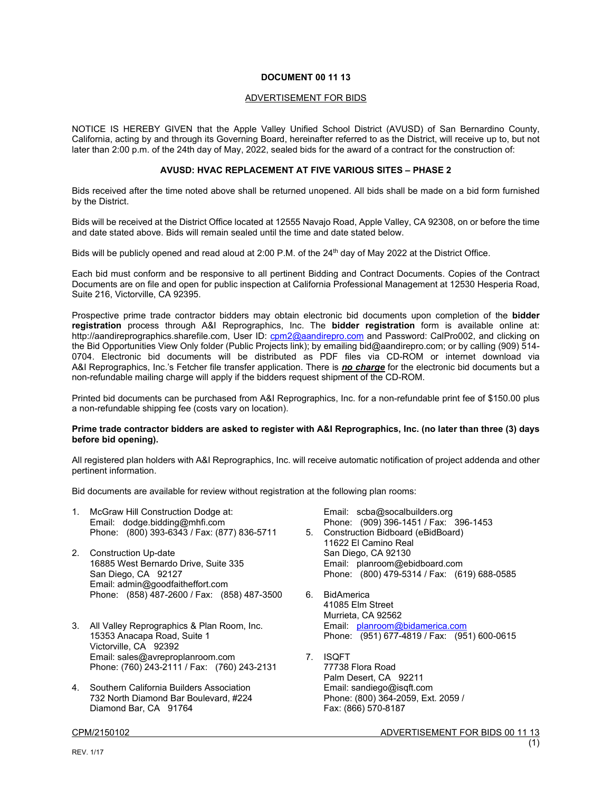# **DOCUMENT 00 11 13**

#### ADVERTISEMENT FOR BIDS

NOTICE IS HEREBY GIVEN that the Apple Valley Unified School District (AVUSD) of San Bernardino County, California, acting by and through its Governing Board, hereinafter referred to as the District, will receive up to, but not later than 2:00 p.m. of the 24th day of May, 2022, sealed bids for the award of a contract for the construction of:

### **AVUSD: HVAC REPLACEMENT AT FIVE VARIOUS SITES – PHASE 2**

Bids received after the time noted above shall be returned unopened. All bids shall be made on a bid form furnished by the District.

Bids will be received at the District Office located at 12555 Navajo Road, Apple Valley, CA 92308, on or before the time and date stated above. Bids will remain sealed until the time and date stated below.

Bids will be publicly opened and read aloud at 2:00 P.M. of the 24<sup>th</sup> day of May 2022 at the District Office.

Each bid must conform and be responsive to all pertinent Bidding and Contract Documents. Copies of the Contract Documents are on file and open for public inspection at California Professional Management at 12530 Hesperia Road, Suite 216, Victorville, CA 92395.

Prospective prime trade contractor bidders may obtain electronic bid documents upon completion of the **bidder registration** process through A&I Reprographics, Inc. The **bidder registration** form is available online at: http://aandireprographics.sharefile.com, User ID: cpm2@aandirepro.com and Password: CalPro002, and clicking on the Bid Opportunities View Only folder (Public Projects link); by emailing bid@aandirepro.com; or by calling (909) 514- 0704. Electronic bid documents will be distributed as PDF files via CD-ROM or internet download via A&I Reprographics, Inc.'s Fetcher file transfer application. There is *no charge* for the electronic bid documents but a non-refundable mailing charge will apply if the bidders request shipment of the CD-ROM.

Printed bid documents can be purchased from A&I Reprographics, Inc. for a non-refundable print fee of \$150.00 plus a non-refundable shipping fee (costs vary on location).

# **Prime trade contractor bidders are asked to register with A&I Reprographics, Inc. (no later than three (3) days before bid opening).**

All registered plan holders with A&I Reprographics, Inc. will receive automatic notification of project addenda and other pertinent information.

Bid documents are available for review without registration at the following plan rooms:

- 1. McGraw Hill Construction Dodge at: Email: dodge.bidding@mhfi.com Phone: (800) 393-6343 / Fax: (877) 836-5711
- 2. Construction Up-date 16885 West Bernardo Drive, Suite 335 San Diego, CA 92127 Email: admin@goodfaitheffort.com Phone: (858) 487-2600 / Fax: (858) 487-3500
- 3. All Valley Reprographics & Plan Room, Inc. 15353 Anacapa Road, Suite 1 Victorville, CA 92392 Email: sales@avreproplanroom.com Phone: (760) 243-2111 / Fax: (760) 243-2131
- 4. Southern California Builders Association 732 North Diamond Bar Boulevard, #224 Diamond Bar, CA 91764

Email: scba@socalbuilders.org Phone: (909) 396-1451 / Fax: 396-1453 5. Construction Bidboard (eBidBoard) 11622 El Camino Real San Diego, CA 92130 Email: planroom@ebidboard.com Phone: (800) 479-5314 / Fax: (619) 688-0585

- 6. BidAmerica 41085 Elm Street Murrieta, CA 92562 Email: planroom@bidamerica.com Phone: (951) 677-4819 / Fax: (951) 600-0615
- 7. ISQFT 77738 Flora Road Palm Desert, CA 92211 Email: sandiego@isqft.com Phone: (800) 364-2059, Ext. 2059 / Fax: (866) 570-8187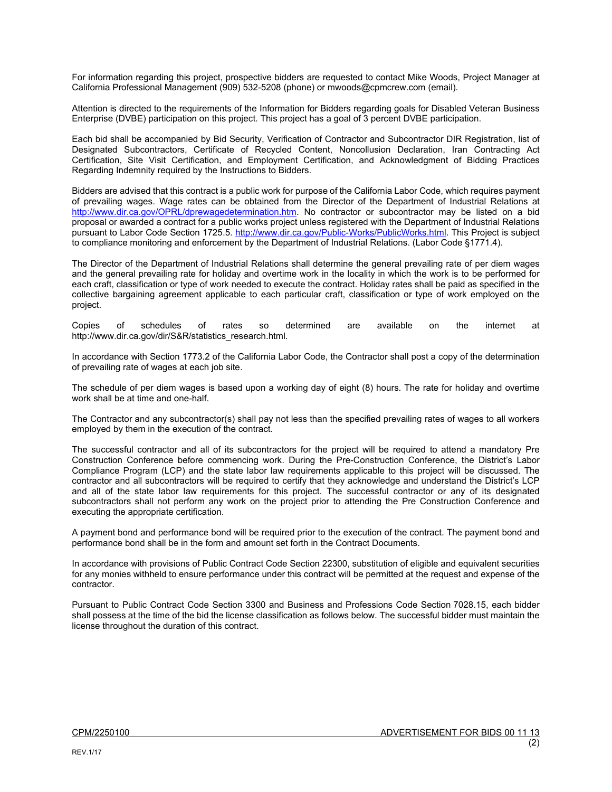For information regarding this project, prospective bidders are requested to contact Mike Woods, Project Manager at California Professional Management (909) 532-5208 (phone) or mwoods@cpmcrew.com (email).

Attention is directed to the requirements of the Information for Bidders regarding goals for Disabled Veteran Business Enterprise (DVBE) participation on this project. This project has a goal of 3 percent DVBE participation.

Each bid shall be accompanied by Bid Security, Verification of Contractor and Subcontractor DIR Registration, list of Designated Subcontractors, Certificate of Recycled Content, Noncollusion Declaration, Iran Contracting Act Certification, Site Visit Certification, and Employment Certification, and Acknowledgment of Bidding Practices Regarding Indemnity required by the Instructions to Bidders.

Bidders are advised that this contract is a public work for purpose of the California Labor Code, which requires payment of prevailing wages. Wage rates can be obtained from the Director of the Department of Industrial Relations at http://www.dir.ca.gov/OPRL/dprewagedetermination.htm. No contractor or subcontractor may be listed on a bid proposal or awarded a contract for a public works project unless registered with the Department of Industrial Relations pursuant to Labor Code Section 1725.5. http://www.dir.ca.gov/Public-Works/PublicWorks.html. This Project is subject to compliance monitoring and enforcement by the Department of Industrial Relations. (Labor Code §1771.4).

The Director of the Department of Industrial Relations shall determine the general prevailing rate of per diem wages and the general prevailing rate for holiday and overtime work in the locality in which the work is to be performed for each craft, classification or type of work needed to execute the contract. Holiday rates shall be paid as specified in the collective bargaining agreement applicable to each particular craft, classification or type of work employed on the project.

Copies of schedules of rates so determined are available on the internet at http://www.dir.ca.gov/dir/S&R/statistics\_research.html.

In accordance with Section 1773.2 of the California Labor Code, the Contractor shall post a copy of the determination of prevailing rate of wages at each job site.

The schedule of per diem wages is based upon a working day of eight (8) hours. The rate for holiday and overtime work shall be at time and one-half.

The Contractor and any subcontractor(s) shall pay not less than the specified prevailing rates of wages to all workers employed by them in the execution of the contract.

The successful contractor and all of its subcontractors for the project will be required to attend a mandatory Pre Construction Conference before commencing work. During the Pre-Construction Conference, the District's Labor Compliance Program (LCP) and the state labor law requirements applicable to this project will be discussed. The contractor and all subcontractors will be required to certify that they acknowledge and understand the District's LCP and all of the state labor law requirements for this project. The successful contractor or any of its designated subcontractors shall not perform any work on the project prior to attending the Pre Construction Conference and executing the appropriate certification.

A payment bond and performance bond will be required prior to the execution of the contract. The payment bond and performance bond shall be in the form and amount set forth in the Contract Documents.

In accordance with provisions of Public Contract Code Section 22300, substitution of eligible and equivalent securities for any monies withheld to ensure performance under this contract will be permitted at the request and expense of the contractor.

Pursuant to Public Contract Code Section 3300 and Business and Professions Code Section 7028.15, each bidder shall possess at the time of the bid the license classification as follows below. The successful bidder must maintain the license throughout the duration of this contract.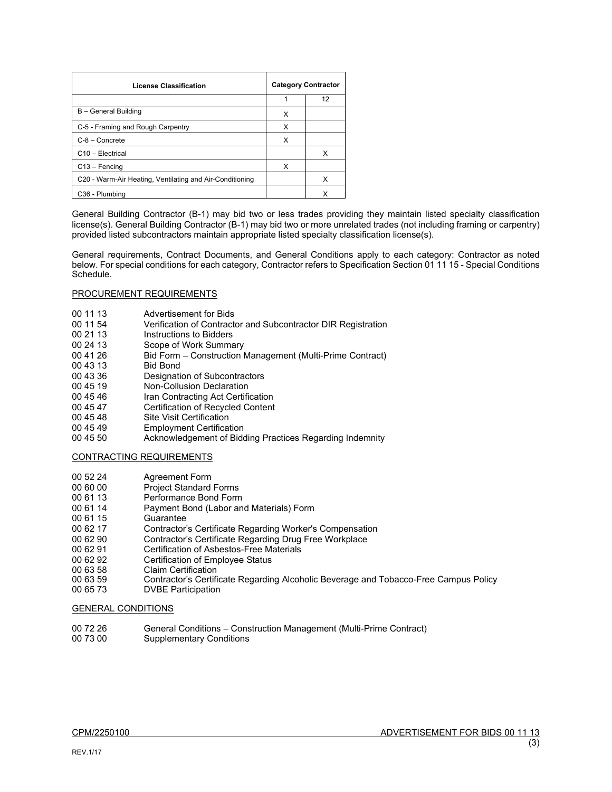| <b>License Classification</b>                            | <b>Category Contractor</b> |    |
|----------------------------------------------------------|----------------------------|----|
|                                                          |                            | 12 |
| B - General Building                                     | х                          |    |
| C-5 - Framing and Rough Carpentry                        | x                          |    |
| $C-8 -$ Concrete                                         | x                          |    |
| C <sub>10</sub> - Electrical                             |                            | х  |
| $C13 - F$ encing                                         | x                          |    |
| C20 - Warm-Air Heating, Ventilating and Air-Conditioning |                            | х  |
| C <sub>36</sub> - Plumbing                               |                            | x  |

General Building Contractor (B-1) may bid two or less trades providing they maintain listed specialty classification license(s). General Building Contractor (B-1) may bid two or more unrelated trades (not including framing or carpentry) provided listed subcontractors maintain appropriate listed specialty classification license(s).

General requirements, Contract Documents, and General Conditions apply to each category: Contractor as noted below. For special conditions for each category, Contractor refers to Specification Section 01 11 15 - Special Conditions Schedule.

### PROCUREMENT REQUIREMENTS

- 00 11 13 Advertisement for Bids
- 00 11 54 Verification of Contractor and Subcontractor DIR Registration<br>00 21 13 Instructions to Bidders
- 00 21 13 Instructions to Bidders<br>00 24 13 Scope of Work Summa
- Scope of Work Summary
- 00 41 26 Bid Form Construction Management (Multi-Prime Contract)
- 00 43 13 Bid Bond<br>00 43 36 Designati
- 00 43 36 Designation of Subcontractors<br>00 45 19 Non-Collusion Declaration
- 00 45 19 **Non-Collusion Declaration**<br>00 45 46 **Iran Contracting Act Certifi**
- 00 45 46 Iran Contracting Act Certification<br>00 45 47 Certification of Recycled Content
- 00 45 47 **Certification of Recycled Content**<br>00 45 48 **Site Visit Certification**
- 00 45 48 Site Visit Certification<br>00 45 49 Employment Certifica
- **Employment Certification**
- 00 45 50 Acknowledgement of Bidding Practices Regarding Indemnity

# CONTRACTING REQUIREMENTS

- 00 52 24 Agreement Form<br>00 60 00 Proiect Standard
- 00 60 00 Project Standard Forms<br>00 61 13 Performance Bond Form
- 00 61 13 Performance Bond Form<br>00 61 14 Payment Bond (Labor an
- 00 61 14 Payment Bond (Labor and Materials) Form<br>00 61 15 Guarantee
- 00 61 15 Guarantee<br>00 62 17 Contractor
- 00 62 17 Contractor's Certificate Regarding Worker's Compensation<br>00 62 90 Contractor's Certificate Regarding Drug Free Workplace
- 00 62 90 Contractor's Certificate Regarding Drug Free Workplace<br>00 62 91 Certification of Asbestos-Free Materials
- 00 62 91 Certification of Asbestos-Free Materials<br>00 62 92 Certification of Employee Status
- Certification of Employee Status
- 00 63 58 Claim Certification<br>00 63 59 Contractor's Certifi
- 00 63 59 Contractor's Certificate Regarding Alcoholic Beverage and Tobacco-Free Campus Policy<br>00 65 73 DVBE Participation
- DVBE Participation

### GENERAL CONDITIONS

00 72 26 General Conditions – Construction Management (Multi-Prime Contract)<br>00 73 00 Supplementary Conditions **Supplementary Conditions**